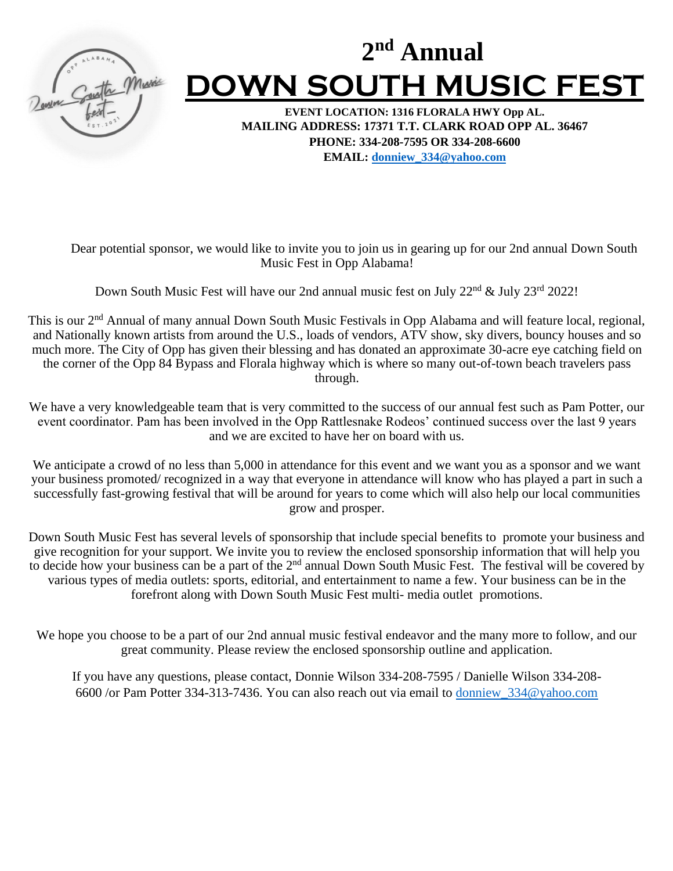

# **2 nd Annual DOWN SOUTH MUSIC FEST**

**EVENT LOCATION: 1316 FLORALA HWY Opp AL. MAILING ADDRESS: 17371 T.T. CLARK ROAD OPP AL. 36467 PHONE: 334-208-7595 OR 334-208-6600 EMAIL: [donniew\\_334@yahoo.com](mailto:donniew_334@yahoo.com)**

Dear potential sponsor, we would like to invite you to join us in gearing up for our 2nd annual Down South Music Fest in Opp Alabama!

Down South Music Fest will have our 2nd annual music fest on July 22<sup>nd</sup> & July 23<sup>rd</sup> 2022!

This is our 2<sup>nd</sup> Annual of many annual Down South Music Festivals in Opp Alabama and will feature local, regional, and Nationally known artists from around the U.S., loads of vendors, ATV show, sky divers, bouncy houses and so much more. The City of Opp has given their blessing and has donated an approximate 30-acre eye catching field on the corner of the Opp 84 Bypass and Florala highway which is where so many out-of-town beach travelers pass through.

We have a very knowledgeable team that is very committed to the success of our annual fest such as Pam Potter, our event coordinator. Pam has been involved in the Opp Rattlesnake Rodeos' continued success over the last 9 years and we are excited to have her on board with us.

We anticipate a crowd of no less than 5,000 in attendance for this event and we want you as a sponsor and we want your business promoted/ recognized in a way that everyone in attendance will know who has played a part in such a successfully fast-growing festival that will be around for years to come which will also help our local communities grow and prosper.

Down South Music Fest has several levels of sponsorship that include special benefits to promote your business and give recognition for your support. We invite you to review the enclosed sponsorship information that will help you to decide how your business can be a part of the  $2<sup>nd</sup>$  annual Down South Music Fest. The festival will be covered by various types of media outlets: sports, editorial, and entertainment to name a few. Your business can be in the forefront along with Down South Music Fest multi- media outlet promotions.

We hope you choose to be a part of our 2nd annual music festival endeavor and the many more to follow, and our great community. Please review the enclosed sponsorship outline and application.

If you have any questions, please contact, Donnie Wilson 334-208-7595 / Danielle Wilson 334-208- 6600 /or Pam Potter 334-313-7436. You can also reach out via email to [donniew\\_334@yahoo.com](mailto:donniew_334@yahoo.com)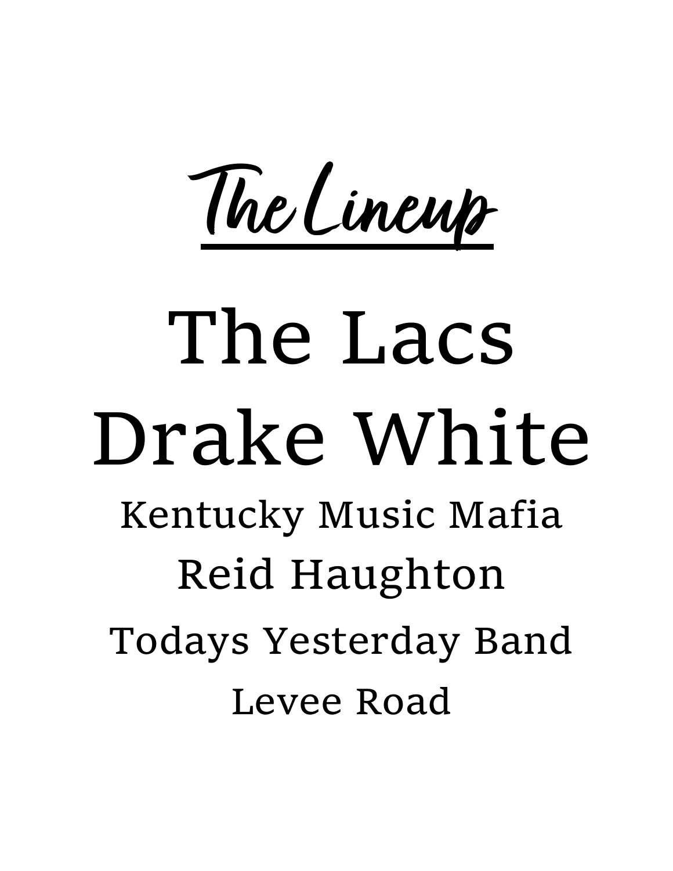**The Lineup**

# The Lacs Drake White

Kentucky Music Mafia Reid Haughton Todays Yesterday Band Levee Road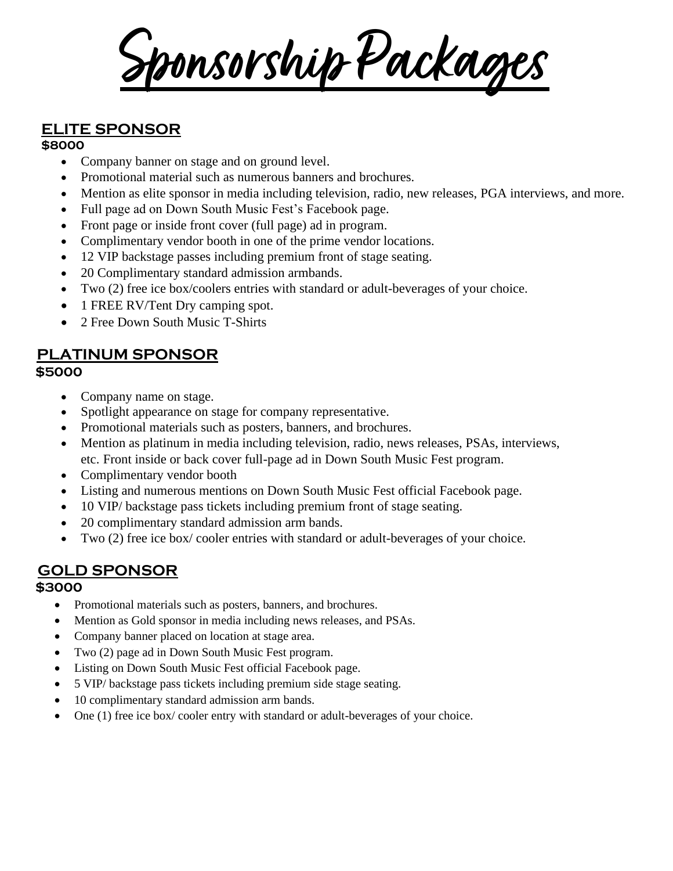**Sponsorship Packages**

## **ELITE SPONSOR**

#### **\$8000**

- Company banner on stage and on ground level.
- Promotional material such as numerous banners and brochures.
- Mention as elite sponsor in media including television, radio, new releases, PGA interviews, and more.
- Full page ad on Down South Music Fest's Facebook page.
- Front page or inside front cover (full page) ad in program.
- Complimentary vendor booth in one of the prime vendor locations.
- 12 VIP backstage passes including premium front of stage seating.
- 20 Complimentary standard admission armbands.
- Two (2) free ice box/coolers entries with standard or adult-beverages of your choice.
- 1 FREE RV/Tent Dry camping spot.
- 2 Free Down South Music T-Shirts

#### **PLATINUM SPONSOR \$5000**

- Company name on stage.
- Spotlight appearance on stage for company representative.
- Promotional materials such as posters, banners, and brochures.
- Mention as platinum in media including television, radio, news releases, PSAs, interviews, etc. Front inside or back cover full-page ad in Down South Music Fest program.
- Complimentary vendor booth
- Listing and numerous mentions on Down South Music Fest official Facebook page.
- 10 VIP/ backstage pass tickets including premium front of stage seating.
- 20 complimentary standard admission arm bands.
- Two (2) free ice box/cooler entries with standard or adult-beverages of your choice.

## **GOLD SPONSOR**

#### **\$3000**

- Promotional materials such as posters, banners, and brochures.
- Mention as Gold sponsor in media including news releases, and PSAs.
- Company banner placed on location at stage area.
- Two (2) page ad in Down South Music Fest program.
- Listing on Down South Music Fest official Facebook page.
- 5 VIP/ backstage pass tickets including premium side stage seating.
- 10 complimentary standard admission arm bands.
- One (1) free ice box/ cooler entry with standard or adult-beverages of your choice.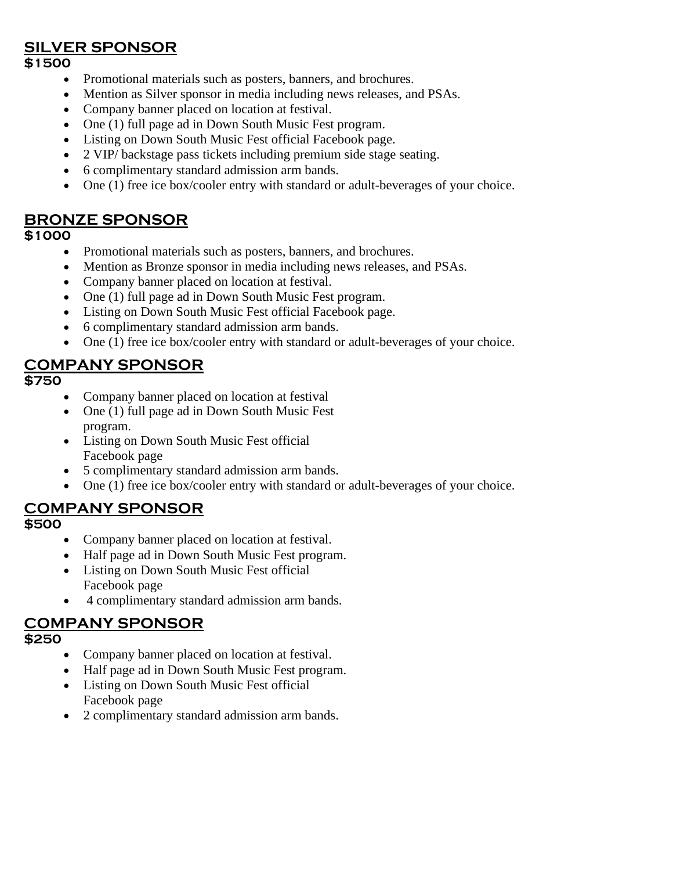#### **SILVER SPONSOR**

#### **\$1500**

- Promotional materials such as posters, banners, and brochures.
- Mention as Silver sponsor in media including news releases, and PSAs.
- Company banner placed on location at festival.
- One (1) full page ad in Down South Music Fest program.
- Listing on Down South Music Fest official Facebook page.
- 2 VIP/ backstage pass tickets including premium side stage seating.
- 6 complimentary standard admission arm bands.
- One (1) free ice box/cooler entry with standard or adult-beverages of your choice.

#### **BRONZE SPONSOR**

#### **\$1000**

- Promotional materials such as posters, banners, and brochures.
- Mention as Bronze sponsor in media including news releases, and PSAs.
- Company banner placed on location at festival.
- One (1) full page ad in Down South Music Fest program.
- Listing on Down South Music Fest official Facebook page.
- 6 complimentary standard admission arm bands.
- One (1) free ice box/cooler entry with standard or adult-beverages of your choice.

#### **COMPANY SPONSOR**

#### **\$750**

- Company banner placed on location at festival
- One (1) full page ad in Down South Music Fest program.
- Listing on Down South Music Fest official Facebook page
- 5 complimentary standard admission arm bands.
- One (1) free ice box/cooler entry with standard or adult-beverages of your choice.

#### **COMPANY SPONSOR**

#### **\$500**

- Company banner placed on location at festival.
- Half page ad in Down South Music Fest program.
- Listing on Down South Music Fest official Facebook page
- 4 complimentary standard admission arm bands.

#### **COMPANY SPONSOR**

#### **\$250**

- Company banner placed on location at festival.
- Half page ad in Down South Music Fest program.
- Listing on Down South Music Fest official Facebook page
- 2 complimentary standard admission arm bands.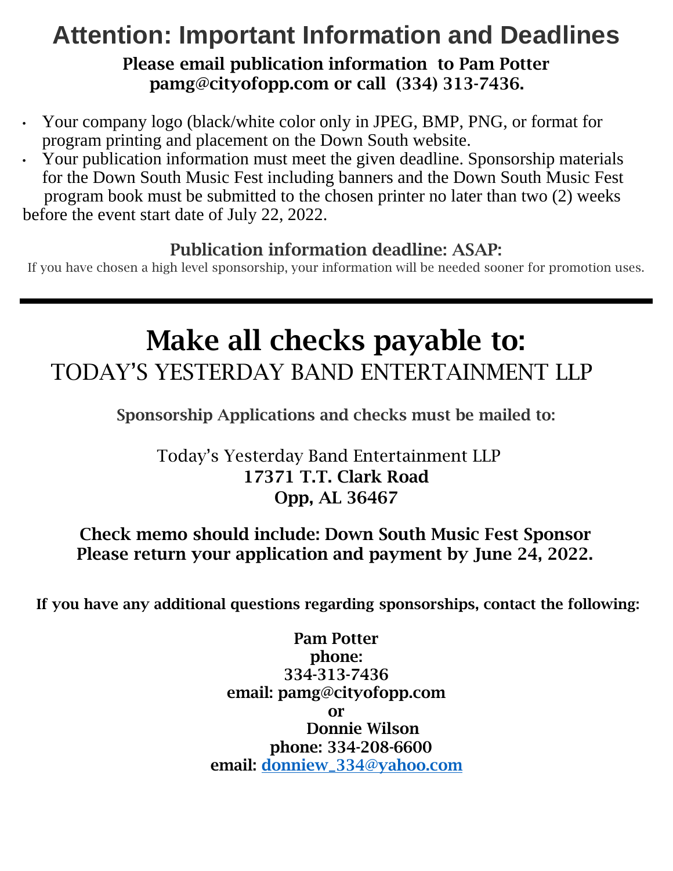# **Attention: Important Information and Deadlines**  Please email publication information to Pam Potter pamg@cityofopp.com or call (334) 313-7436.

- Your company logo (black/white color only in JPEG, BMP, PNG, or format for program printing and placement on the Down South website.
- Your publication information must meet the given deadline. Sponsorship materials for the Down South Music Fest including banners and the Down South Music Fest program book must be submitted to the chosen printer no later than two (2) weeks before the event start date of July 22, 2022.

# Publication information deadline: ASAP:

If you have chosen a high level sponsorship, your information will be needed sooner for promotion uses.

# Make all checks payable to: TODAY'S YESTERDAY BAND ENTERTAINMENT LLP

Sponsorship Applications and checks must be mailed to:

# Today's Yesterday Band Entertainment LLP 17371 T.T. Clark Road Opp, AL 36467

## Check memo should include: Down South Music Fest Sponsor Please return your application and payment by June 24, 2022.

If you have any additional questions regarding sponsorships, contact the following:

Pam Potter phone: 334-313-7436 email: pamg@cityofopp.com or Donnie Wilson phone: 334-208-6600 email: [donniew\\_334@yahoo.com](mailto:donniew_334@yahoo.com)